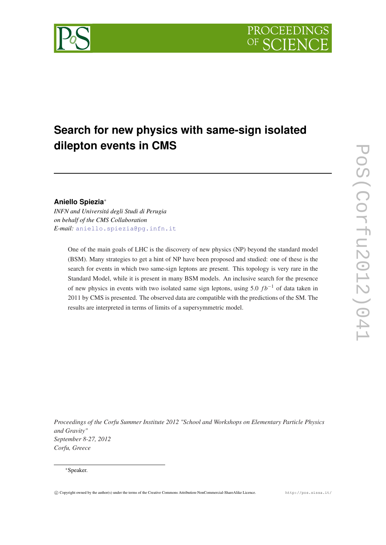

# **Search for new physics with same-sign isolated dilepton events in CMS**

# **Aniello Spiezia**<sup>∗</sup>

*INFN and Universitá degli Studi di Perugia on behalf of the CMS Collaboration E-mail:* [aniello.spiezia@pg.infn.it](mailto:aniello.spiezia@pg.infn.it)

> One of the main goals of LHC is the discovery of new physics (NP) beyond the standard model (BSM). Many strategies to get a hint of NP have been proposed and studied: one of these is the search for events in which two same-sign leptons are present. This topology is very rare in the Standard Model, while it is present in many BSM models. An inclusive search for the presence of new physics in events with two isolated same sign leptons, using 5.0 *f b*−<sup>1</sup> of data taken in 2011 by CMS is presented. The observed data are compatible with the predictions of the SM. The results are interpreted in terms of limits of a supersymmetric model.

*Proceedings of the Corfu Summer Institute 2012 "School and Workshops on Elementary Particle Physics and Gravity" September 8-27, 2012 Corfu, Greece*

#### <sup>∗</sup>Speaker.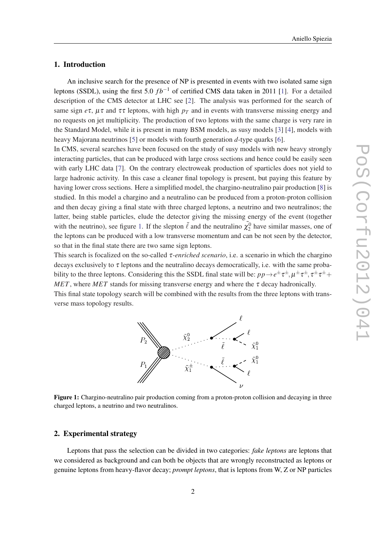#### Aniello Spiezia

#### 1. Introduction

An inclusive search for the presence of NP is presented in events with two isolated same sign leptons (SSDL), using the first 5.0 *f b*−<sup>1</sup> of certified CMS data taken in 2011 [\[1\]](#page-4-0). For a detailed description of the CMS detector at LHC see [[2](#page-4-0)]. The analysis was performed for the search of same sign  $e\tau$ ,  $\mu\tau$  and  $\tau\tau$  leptons, with high  $p\tau$  and in events with transverse missing energy and no requests on jet multiplicity. The production of two leptons with the same charge is very rare in the Standard Model, while it is present in many BSM models, as susy models [\[3\]](#page-4-0) [[4](#page-4-0)], models with heavy Majorana neutrinos [\[5\]](#page-4-0) or models with fourth generation *d*-type quarks [[6](#page-4-0)].

In CMS, several searches have been focused on the study of susy models with new heavy strongly interacting particles, that can be produced with large cross sections and hence could be easily seen with early LHC data [\[7\]](#page-4-0). On the contrary electroweak production of sparticles does not yield to large hadronic activity. In this case a cleaner final topology is present, but paying this feature by having lower cross sections. Here a simplified model, the chargino-neutralino pair production [\[8\]](#page-4-0) is studied. In this model a chargino and a neutralino can be produced from a proton-proton collision and then decay giving a final state with three charged leptons, a neutrino and two neutralinos; the latter, being stable particles, elude the detector giving the missing energy of the event (together with the neutrino), see figure 1. If the slepton  $\tilde{\ell}$  and the neutralino  $\tilde{\chi}_2^0$  have similar masses, one of the leptons can be produced with a low transverse momentum and can be not seen by the detector, so that in the final state there are two same sign leptons.

This search is focalized on the so-called τ*-enriched scenario*, i.e. a scenario in which the chargino decays exclusively to  $\tau$  leptons and the neutralino decays democratically, i.e. with the same probability to the three leptons. Considering this the SSDL final state will be:  $pp\to e^{\pm}\tau^{\pm}, \mu^{\pm}\tau^{\pm}, \tau^{\pm}\tau^{\pm}+$ *MET*, where *MET* stands for missing transverse energy and where the  $\tau$  decay hadronically.

This final state topology search will be combined with the results from the three leptons with transverse mass topology results.



Figure 1: Chargino-neutralino pair production coming from a proton-proton collision and decaying in three charged leptons, a neutrino and two neutralinos.

#### 2. Experimental strategy

Leptons that pass the selection can be divided in two categories: *fake leptons* are leptons that we considered as background and can both be objects that are wrongly reconstructed as leptons or genuine leptons from heavy-flavor decay; *prompt leptons*, that is leptons from W, Z or NP particles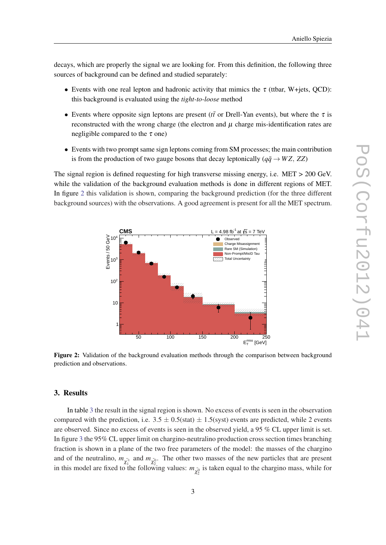decays, which are properly the signal we are looking for. From this definition, the following three sources of background can be defined and studied separately:

- Events with one real lepton and hadronic activity that mimics the  $\tau$  (ttbar, W+jets, OCD): this background is evaluated using the *tight-to-loose* method
- Events where opposite sign leptons are present ( $t\bar{t}$  or Drell-Yan events), but where the  $\tau$  is reconstructed with the wrong charge (the electron and  $\mu$  charge mis-identification rates are negligible compared to the  $\tau$  one)
- Events with two prompt same sign leptons coming from SM processes; the main contribution is from the production of two gauge bosons that decay leptonically ( $q\bar{q} \rightarrow WZ$ , *ZZ*)

The signal region is defined requesting for high transverse missing energy, i.e. MET > 200 GeV. while the validation of the background evaluation methods is done in different regions of MET. In figure 2 this validation is shown, comparing the background prediction (for the three different background sources) with the observations. A good agreement is present for all the MET spectrum.



Figure 2: Validation of the background evaluation methods through the comparison between background prediction and observations.

### 3. Results

In table [3](#page-3-0) the result in the signal region is shown. No excess of events is seen in the observation compared with the prediction, i.e.  $3.5 \pm 0.5$ (stat)  $\pm 1.5$ (syst) events are predicted, while 2 events are observed. Since no excess of events is seen in the observed yield, a 95 % CL upper limit is set. In figure [3](#page-3-0) the 95% CL upper limit on chargino-neutralino production cross section times branching fraction is shown in a plane of the two free parameters of the model: the masses of the chargino and of the neutralino,  $m_{\tilde{\chi}_1^{\pm}}$  and  $m_{\tilde{\chi}_2^0}$ . The other two masses of the new particles that are present in this model are fixed to the following values:  $m_{\tilde{\chi}_2^0}$  is taken equal to the chargino mass, while for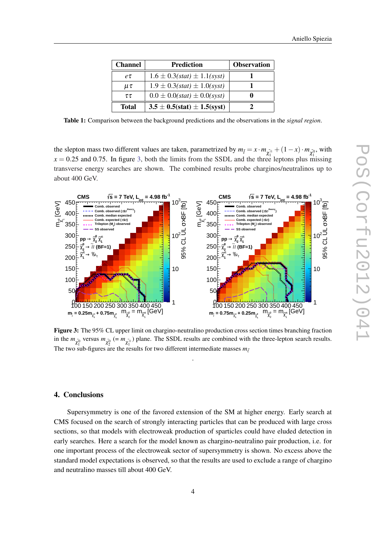| Aniello Spiezia |  |  |
|-----------------|--|--|
|                 |  |  |

<span id="page-3-0"></span>

| <b>Channel</b> | Prediction                        | <b>Observation</b> |
|----------------|-----------------------------------|--------------------|
| $e\tau$        | $1.6 \pm 0.3(stat) \pm 1.1(syst)$ |                    |
| $\mu\tau$      | $1.9 \pm 0.3(stat) \pm 1.0(syst)$ |                    |
| $\tau\tau$     | $0.0 \pm 0.0(stat) \pm 0.0(syst)$ |                    |
| <b>Total</b>   | $3.5 \pm 0.5(stat) \pm 1.5(syst)$ |                    |

Table 1: Comparison between the background predictions and the observations in the *signal region*.

the slepton mass two different values are taken, parametrized by  $m_{\tilde{l}} = x \cdot m_{\tilde{\chi}_1^{\pm}} + (1 - x) \cdot m_{\tilde{\chi}_1^0}$ , with  $x = 0.25$  and 0.75. In figure 3, both the limits from the SSDL and the three leptons plus missing transverse energy searches are shown. The combined results probe charginos/neutralinos up to about 400 GeV.



Figure 3: The 95% CL upper limit on chargino-neutralino production cross section times branching fraction in the  $m_{\tilde{\chi}_1^0}$  versus  $m_{\tilde{\chi}_2^0} (= m_{\tilde{\chi}_1^{\pm}})$  plane. The SSDL results are combined with the three-lepton search results. The two sub-figures are the results for two different intermediate masses  $m_{\tilde{\ell}}$ 

.

## 4. Conclusions

Supersymmetry is one of the favored extension of the SM at higher energy. Early search at CMS focused on the search of strongly interacting particles that can be produced with large cross sections, so that models with electroweak production of sparticles could have eluded detection in early searches. Here a search for the model known as chargino-neutralino pair production, i.e. for one important process of the electroweak sector of supersymmetry is shown. No excess above the standard model expectations is observed, so that the results are used to exclude a range of chargino and neutralino masses till about 400 GeV.